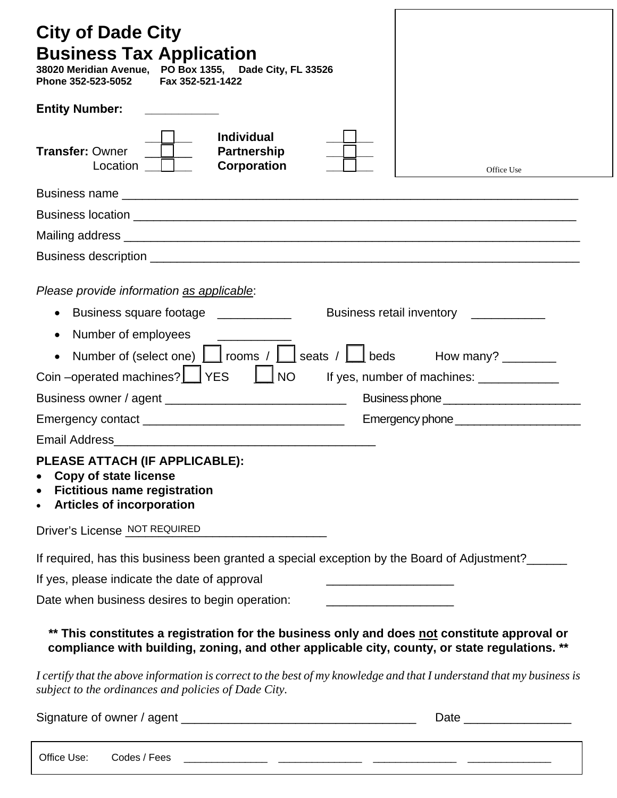| <b>City of Dade City</b><br><b>Business Tax Application</b><br>38020 Meridian Avenue, PO Box 1355, Dade City, FL 33526<br>Phone 352-523-5052<br>Fax 352-521-1422                              |            |  |  |  |  |
|-----------------------------------------------------------------------------------------------------------------------------------------------------------------------------------------------|------------|--|--|--|--|
| <b>Entity Number:</b>                                                                                                                                                                         |            |  |  |  |  |
| <b>Individual</b><br><b>Transfer: Owner</b><br><b>Partnership</b><br><b>Corporation</b><br>Location                                                                                           | Office Use |  |  |  |  |
|                                                                                                                                                                                               |            |  |  |  |  |
|                                                                                                                                                                                               |            |  |  |  |  |
|                                                                                                                                                                                               |            |  |  |  |  |
|                                                                                                                                                                                               |            |  |  |  |  |
| Please provide information as applicable:                                                                                                                                                     |            |  |  |  |  |
| Business square footage ___________<br>Business retail inventory __________                                                                                                                   |            |  |  |  |  |
| Number of employees                                                                                                                                                                           |            |  |  |  |  |
| Number of (select one) $\boxed{\phantom{a}}$ rooms / $\boxed{\phantom{a}}$ seats / $\boxed{\phantom{a}}$ beds How many? _______                                                               |            |  |  |  |  |
| Coin-operated machines?   YES<br>$\Box$ NO<br>If yes, number of machines: _____________                                                                                                       |            |  |  |  |  |
|                                                                                                                                                                                               |            |  |  |  |  |
|                                                                                                                                                                                               |            |  |  |  |  |
| PLEASE ATTACH (IF APPLICABLE):<br><b>Copy of state license</b><br><b>Fictitious name registration</b><br>$\bullet$<br><b>Articles of incorporation</b>                                        |            |  |  |  |  |
| Driver's License NOT REQUIRED                                                                                                                                                                 |            |  |  |  |  |
| If required, has this business been granted a special exception by the Board of Adjustment?______                                                                                             |            |  |  |  |  |
| If yes, please indicate the date of approval<br>the contract of the contract of the contract of                                                                                               |            |  |  |  |  |
| Date when business desires to begin operation:                                                                                                                                                |            |  |  |  |  |
| ** This constitutes a registration for the business only and does not constitute approval or<br>compliance with building, zoning, and other applicable city, county, or state regulations. ** |            |  |  |  |  |
| I certify that the above information is correct to the best of my knowledge and that I understand that my business is<br>subject to the ordinances and policies of Dade City.                 |            |  |  |  |  |
|                                                                                                                                                                                               |            |  |  |  |  |

| Office Use: | / Codes<br>Fees |  |  |
|-------------|-----------------|--|--|
|             | .               |  |  |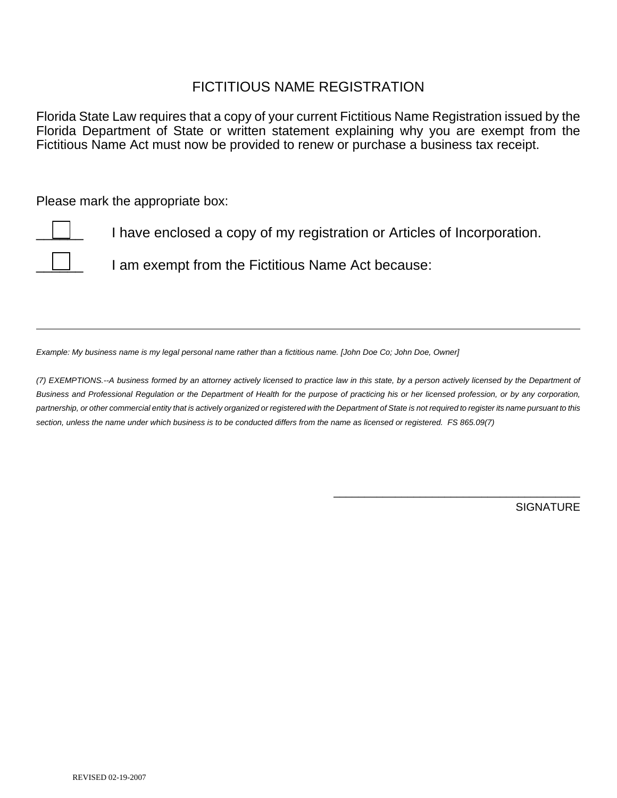## FICTITIOUS NAME REGISTRATION

Florida State Law requires that a copy of your current Fictitious Name Registration issued by the Florida Department of State or written statement explaining why you are exempt from the Fictitious Name Act must now be provided to renew or purchase a business tax receipt.

Please mark the appropriate box:

I have enclosed a copy of my registration or Articles of Incorporation.

I am exempt from the Fictitious Name Act because:

*Example: My business name is my legal personal name rather than a fictitious name. [John Doe Co; John Doe, Owner]* 

*(7) EXEMPTIONS.--A business formed by an attorney actively licensed to practice law in this state, by a person actively licensed by the Department of Business and Professional Regulation or the Department of Health for the purpose of practicing his or her licensed profession, or by any corporation, partnership, or other commercial entity that is actively organized or registered with the Department of State is not required to register its name pursuant to this section, unless the name under which business is to be conducted differs from the name as licensed or registered. FS 865.09(7)*

**SIGNATURE** 

\_\_\_\_\_\_\_\_\_\_\_\_\_\_\_\_\_\_\_\_\_\_\_\_\_\_\_\_\_\_\_\_\_\_\_\_\_\_\_\_